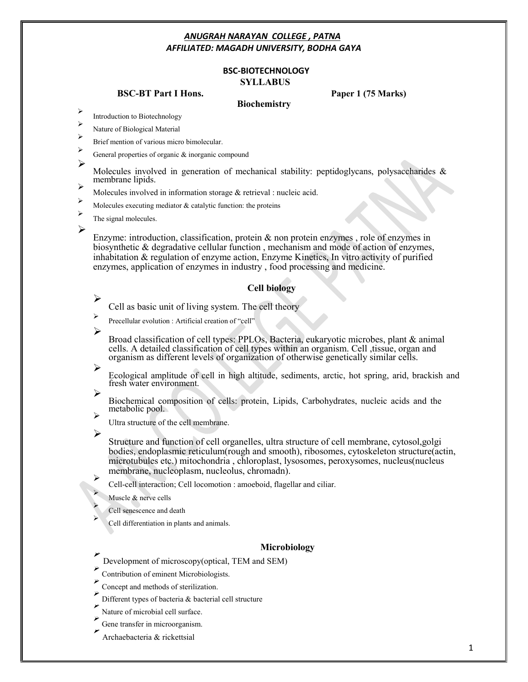#### **BSC-BIOTECHNOLOGY SYLLABUS**

#### **BSC-BT Part I Hons. Paper 1 (75 Marks)**

- **Biochemistry**<br>
Introduction to Biotechnology
- Nature of Biological Material
- Brief mention of various micro bimolecular.
- General properties of organic & inorganic compound
- ➢ Molecules involved in generation of mechanical stability: peptidoglycans, polysaccharides & membrane lipids.
- Molecules involved in information storage & retrieval : nucleic acid.
- Molecules executing mediator  $\&$  catalytic function: the proteins
- The signal molecules.

 $\blacktriangleright$ 

Enzyme: introduction, classification, protein  $\&$  non protein enzymes, role of enzymes in biosynthetic & degradative cellular function , mechanism and mode of action of enzymes, inhabitation & regulation of enzyme action, Enzyme Kinetics, In vitro activity of purified enzymes, application of enzymes in industry , food processing and medicine.

#### **Cell biology**

Cell as basic unit of living system. The cell theory

- Precellular evolution : Artificial creation of "cell"
- $\blacktriangleright$

⋗

Broad classification of cell types: PPLOs, Bacteria, eukaryotic microbes, plant & animal cells. A detailed classification of cell types within an organism. Cell ,tissue, organ and organism as different levels of organization of otherwise genetically similar cells.

Ecological amplitude of cell in high altitude, sediments, arctic, hot spring, arid, brackish and fresh water environment.

↘

 $\blacktriangleright$ 

Biochemical composition of cells: protein, Lipids, Carbohydrates, nucleic acids and the metabolic pool.

Ultra structure of the cell membrane.

➤

Structure and function of cell organelles, ultra structure of cell membrane, cytosol,golgi bodies, endoplasmic reticulum(rough and smooth), ribosomes, cytoskeleton structure(actin, microtubules etc.) mitochondria , chloroplast, lysosomes, peroxysomes, nucleus(nucleus membrane, nucleoplasm, nucleolus, chromadn).

Cell-cell interaction; Cell locomotion : amoeboid, flagellar and ciliar.

Muscle & nerve cells

Cell senescence and death

Cell differentiation in plants and animals.

- **Microbiology** Development of microscopy(optical, TEM and SEM)
- Contribution of eminent Microbiologists.
- Concept and methods of sterilization.
- Different types of bacteria & bacterial cell structure
- Nature of microbial cell surface.
- $\blacktriangleright$ Gene transfer in microorganism.
- Archaebacteria & rickettsial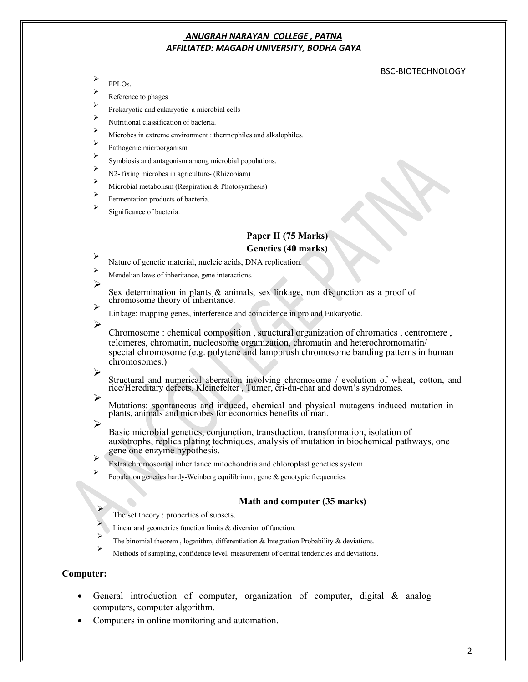#### BSC-BIOTECHNOLOGY

↘ PPLOs.

Reference to phages

- Prokaryotic and eukaryotic a microbial cells  $\triangleright$
- Nutritional classification of bacteria.
- Microbes in extreme environment : thermophiles and alkalophiles.
- Pathogenic microorganism
- Symbiosis and antagonism among microbial populations.
- N2- fixing microbes in agriculture- (Rhizobiam)
- Microbial metabolism (Respiration & Photosynthesis)
- Fermentation products of bacteria.
- Significance of bacteria.

# **Paper II (75 Marks)**

- **Genetics (40 marks)**<br>
Nature of genetic material, nucleic acids, DNA replication.
- Mendelian laws of inheritance, gene interactions. ↘

Sex determination in plants  $\&$  animals, sex linkage, non disjunction as a proof of chromosome theory of inheritance.

- Linkage: mapping genes, interference and coincidence in pro and Eukaryotic.
- ➤

Chromosome : chemical composition , structural organization of chromatics , centromere , telomeres, chromatin, nucleosome organization, chromatin and heterochromomatin/ special chromosome (e.g. polytene and lampbrush chromosome banding patterns in human chromosomes.)

Structural and numerical aberration involving chromosome / evolution of wheat, cotton, and rice/Hereditary defects. Kleinefelter , Turner, cri-du-char and down's syndromes.

Mutations: spontaneous and induced, chemical and physical mutagens induced mutation in plants, animals and microbes for economics benefits of man.

➢

↘

↘

Basic microbial genetics, conjunction, transduction, transformation, isolation of auxotrophs, replica plating techniques, analysis of mutation in biochemical pathways, one

- Extra chromosomal inheritance mitochondria and chloroplast genetics system.
	- Population genetics hardy-Weinberg equilibrium, gene & genotypic frequencies.

# **Math and computer (35 marks)**<br>The set theory : properties of subsets.

- Linear and geometrics function limits & diversion of function.
- The binomial theorem, logarithm, differentiation  $\&$  Integration Probability  $\&$  deviations.
- Methods of sampling, confidence level, measurement of central tendencies and deviations.

#### **Computer:**

- General introduction of computer, organization of computer, digital & analog computers, computer algorithm.
- Computers in online monitoring and automation.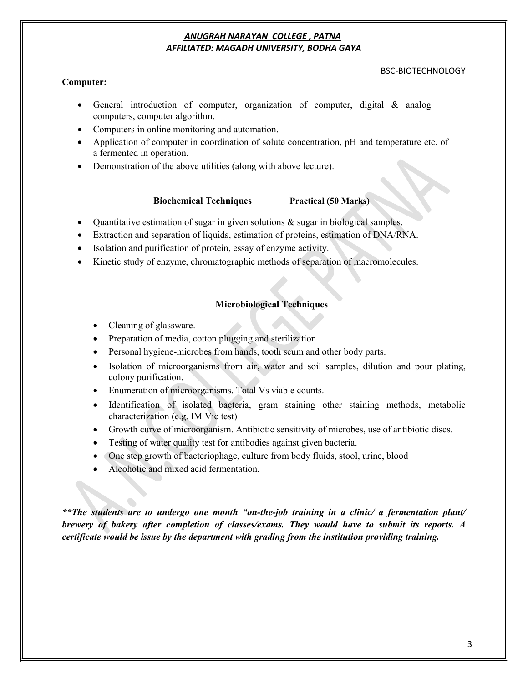#### BSC-BIOTECHNOLOGY

#### **Computer:**

- General introduction of computer, organization of computer, digital & analog computers, computer algorithm.
- Computers in online monitoring and automation.
- Application of computer in coordination of solute concentration, pH and temperature etc. of a fermented in operation.
- Demonstration of the above utilities (along with above lecture).

#### **Biochemical Techniques Practical (50 Marks)**

- Quantitative estimation of sugar in given solutions  $\&$  sugar in biological samples.
- Extraction and separation of liquids, estimation of proteins, estimation of DNA/RNA.
- Isolation and purification of protein, essay of enzyme activity.
- Kinetic study of enzyme, chromatographic methods of separation of macromolecules.

#### **Microbiological Techniques**

- Cleaning of glassware.
- Preparation of media, cotton plugging and sterilization
- Personal hygiene-microbes from hands, tooth scum and other body parts.
- Isolation of microorganisms from air, water and soil samples, dilution and pour plating, colony purification.
- Enumeration of microorganisms. Total Vs viable counts.
- Identification of isolated bacteria, gram staining other staining methods, metabolic characterization (e.g. IM Vic test)
- Growth curve of microorganism. Antibiotic sensitivity of microbes, use of antibiotic discs.
- Testing of water quality test for antibodies against given bacteria.
- One step growth of bacteriophage, culture from body fluids, stool, urine, blood
- Alcoholic and mixed acid fermentation.

*\*\*The students are to undergo one month "on-the-job training in a clinic/ a fermentation plant/ brewery of bakery after completion of classes/exams. They would have to submit its reports. A certificate would be issue by the department with grading from the institution providing training.*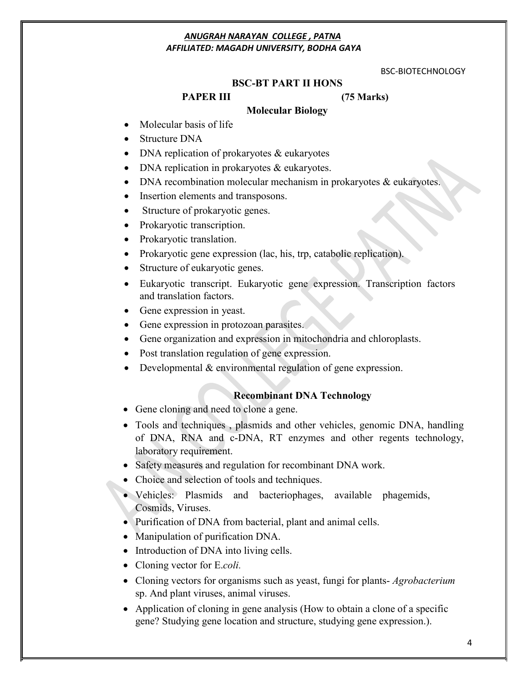#### BSC-BIOTECHNOLOGY

#### **BSC-BT PART II HONS**

#### **PAPER III (75 Marks)**

#### **Molecular Biology**

- Molecular basis of life
- Structure DNA
- DNA replication of prokaryotes & eukaryotes
- DNA replication in prokaryotes & eukaryotes.
- DNA recombination molecular mechanism in prokaryotes & eukaryotes.
- Insertion elements and transposons.
- Structure of prokaryotic genes.
- Prokaryotic transcription.
- Prokaryotic translation.
- Prokaryotic gene expression (lac, his, trp, catabolic replication).
- Structure of eukaryotic genes.
- Eukaryotic transcript. Eukaryotic gene expression. Transcription factors and translation factors.
- Gene expression in yeast.
- Gene expression in protozoan parasites.
- Gene organization and expression in mitochondria and chloroplasts.
- Post translation regulation of gene expression.
- Developmental & environmental regulation of gene expression.

#### **Recombinant DNA Technology**

- Gene cloning and need to clone a gene.
- Tools and techniques , plasmids and other vehicles, genomic DNA, handling of DNA, RNA and c-DNA, RT enzymes and other regents technology, laboratory requirement.
- Safety measures and regulation for recombinant DNA work.
- Choice and selection of tools and techniques.
- Vehicles: Plasmids and bacteriophages, available phagemids, Cosmids, Viruses.
- Purification of DNA from bacterial, plant and animal cells.
- Manipulation of purification DNA.
- Introduction of DNA into living cells.
- Cloning vector for E.*coli.*
- Cloning vectors for organisms such as yeast, fungi for plants- *Agrobacterium* sp. And plant viruses, animal viruses.
- Application of cloning in gene analysis (How to obtain a clone of a specific gene? Studying gene location and structure, studying gene expression.).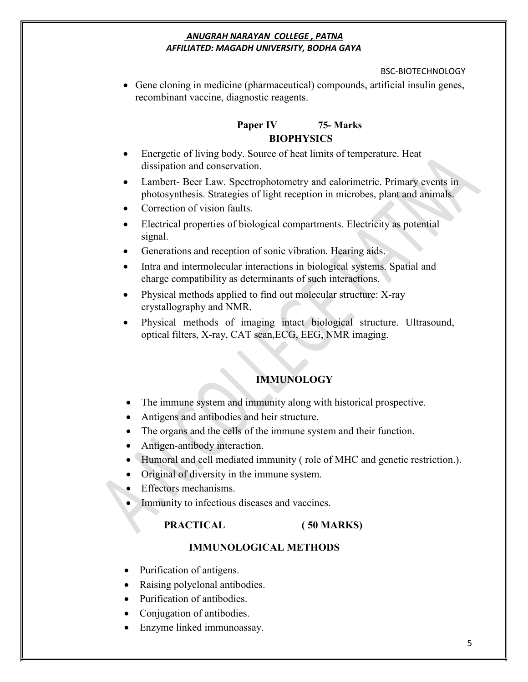## BSC-BIOTECHNOLOGY

 Gene cloning in medicine (pharmaceutical) compounds, artificial insulin genes, recombinant vaccine, diagnostic reagents.

# **Paper IV 75- Marks BIOPHYSICS**

- Energetic of living body. Source of heat limits of temperature. Heat dissipation and conservation.
- Lambert- Beer Law. Spectrophotometry and calorimetric. Primary events in photosynthesis. Strategies of light reception in microbes, plant and animals.
- Correction of vision faults.
- Electrical properties of biological compartments. Electricity as potential signal.
- Generations and reception of sonic vibration. Hearing aids.
- Intra and intermolecular interactions in biological systems. Spatial and charge compatibility as determinants of such interactions.
- Physical methods applied to find out molecular structure: X-ray crystallography and NMR.
- Physical methods of imaging intact biological structure. Ultrasound, optical filters, X-ray, CAT scan,ECG, EEG, NMR imaging.

# **IMMUNOLOGY**

- The immune system and immunity along with historical prospective.
- Antigens and antibodies and heir structure.
- The organs and the cells of the immune system and their function.
- Antigen-antibody interaction.
- Humoral and cell mediated immunity ( role of MHC and genetic restriction.).
- Original of diversity in the immune system.
- Effectors mechanisms.
- Immunity to infectious diseases and vaccines.

# **PRACTICAL ( 50 MARKS)**

# **IMMUNOLOGICAL METHODS**

- Purification of antigens.
- Raising polyclonal antibodies.
- Purification of antibodies.
- Conjugation of antibodies.
- Enzyme linked immunoassay.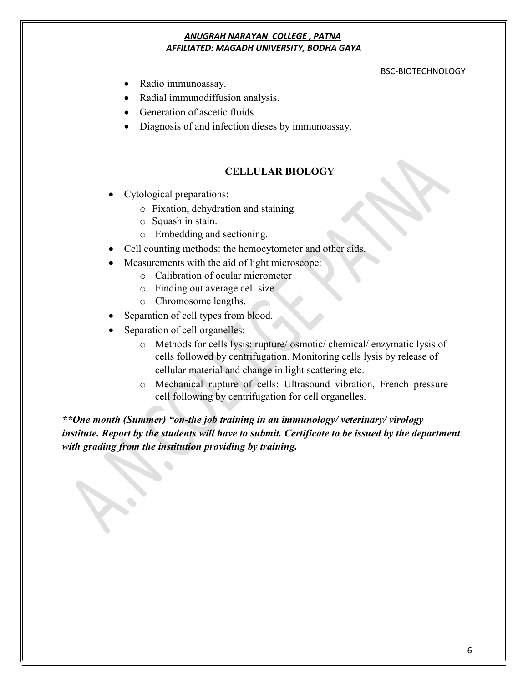#### BSC-BIOTECHNOLOGY

- Radio immunoassay.
- Radial immunodiffusion analysis.
- Generation of ascetic fluids.
- Diagnosis of and infection dieses by immunoassay.

# **CELLULAR BIOLOGY**

- Cytological preparations:
	- o Fixation, dehydration and staining
	- o Squash in stain.
	- o Embedding and sectioning.
- Cell counting methods: the hemocytometer and other aids.
- Measurements with the aid of light microscope:
	- o Calibration of ocular micrometer
	- o Finding out average cell size
	- o Chromosome lengths.
- Separation of cell types from blood.
- Separation of cell organelles:
	- o Methods for cells lysis: rupture/ osmotic/ chemical/ enzymatic lysis of cells followed by centrifugation. Monitoring cells lysis by release of cellular material and change in light scattering etc.
	- o Mechanical rupture of cells: Ultrasound vibration, French pressure cell following by centrifugation for cell organelles.

*\*\*One month (Summer) "on-the job training in an immunology/ veterinary/ virology institute. Report by the students will have to submit. Certificate to be issued by the department with grading from the institution providing by training.*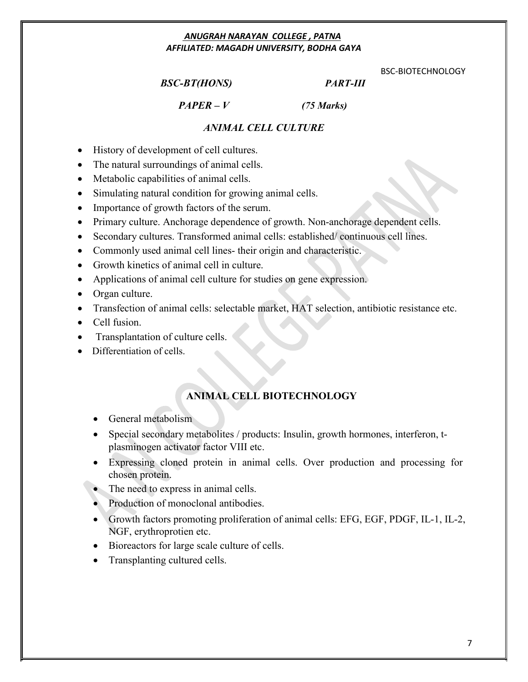# *BSC-BT(HONS) PART-III*

BSC-BIOTECHNOLOGY

*PAPER – V (75 Marks)*

# *ANIMAL CELL CULTURE*

- History of development of cell cultures.
- The natural surroundings of animal cells.
- Metabolic capabilities of animal cells.
- Simulating natural condition for growing animal cells.
- Importance of growth factors of the serum.
- Primary culture. Anchorage dependence of growth. Non-anchorage dependent cells.
- Secondary cultures. Transformed animal cells: established/ continuous cell lines.
- Commonly used animal cell lines- their origin and characteristic.
- Growth kinetics of animal cell in culture.
- Applications of animal cell culture for studies on gene expression.
- Organ culture.
- Transfection of animal cells: selectable market, HAT selection, antibiotic resistance etc.
- Cell fusion.
- Transplantation of culture cells.
- Differentiation of cells.

# **ANIMAL CELL BIOTECHNOLOGY**

- General metabolism
- Special secondary metabolites / products: Insulin, growth hormones, interferon, tplasminogen activator factor VIII etc.
- Expressing cloned protein in animal cells. Over production and processing for chosen protein.
- The need to express in animal cells.
- Production of monoclonal antibodies.
- Growth factors promoting proliferation of animal cells: EFG, EGF, PDGF, IL-1, IL-2, NGF, erythroprotien etc.
- Bioreactors for large scale culture of cells.
- Transplanting cultured cells.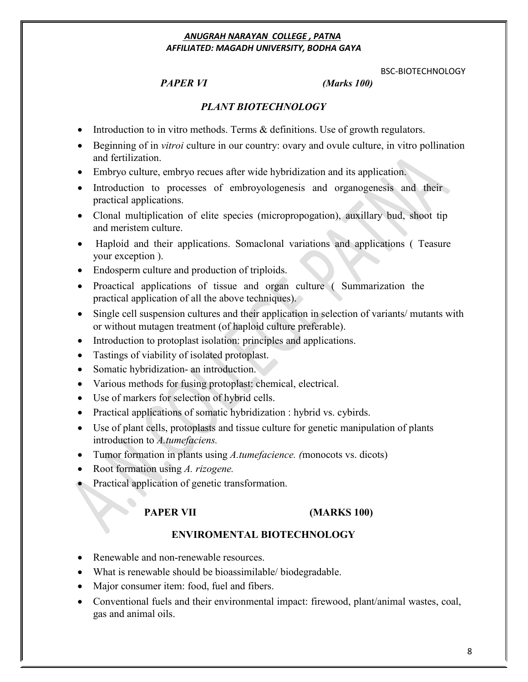BSC-BIOTECHNOLOGY

# *PAPER VI (Marks 100)*

# *PLANT BIOTECHNOLOGY*

- Introduction to in vitro methods. Terms  $\&$  definitions. Use of growth regulators.
- Beginning of in *vitroi* culture in our country: ovary and ovule culture, in vitro pollination and fertilization.
- Embryo culture, embryo recues after wide hybridization and its application.
- Introduction to processes of embroyologenesis and organogenesis and their practical applications.
- Clonal multiplication of elite species (micropropogation), auxillary bud, shoot tip and meristem culture.
- Haploid and their applications. Somaclonal variations and applications ( Teasure your exception ).
- Endosperm culture and production of triploids.
- Proactical applications of tissue and organ culture ( Summarization the practical application of all the above techniques).
- Single cell suspension cultures and their application in selection of variants/ mutants with or without mutagen treatment (of haploid culture preferable).
- Introduction to protoplast isolation: principles and applications.
- Tastings of viability of isolated protoplast.
- Somatic hybridization- an introduction.
- Various methods for fusing protoplast: chemical, electrical.
- Use of markers for selection of hybrid cells.
- Practical applications of somatic hybridization : hybrid vs. cybirds.
- Use of plant cells, protoplasts and tissue culture for genetic manipulation of plants introduction to *A.tumefaciens.*
- Tumor formation in plants using *A.tumefacience. (*monocots vs. dicots)
- Root formation using *A. rizogene.*
- Practical application of genetic transformation.

# **PAPER VII (MARKS 100)**

## **ENVIROMENTAL BIOTECHNOLOGY**

- Renewable and non-renewable resources.
- What is renewable should be bioassimilable/ biodegradable.
- Major consumer item: food, fuel and fibers.
- Conventional fuels and their environmental impact: firewood, plant/animal wastes, coal, gas and animal oils.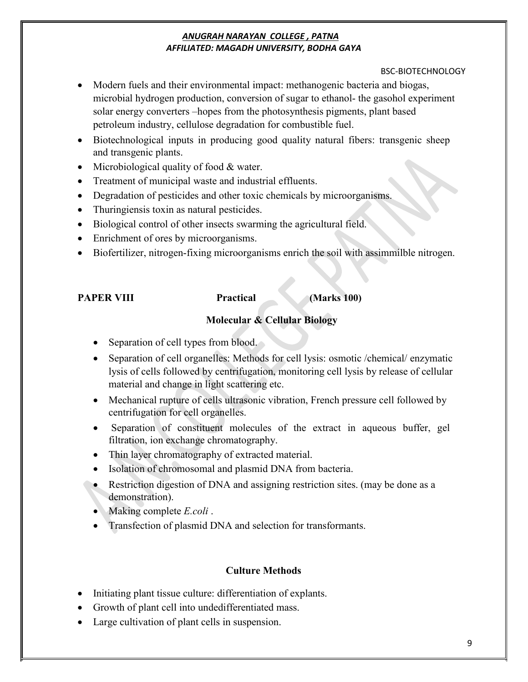# BSC-BIOTECHNOLOGY

- Modern fuels and their environmental impact: methanogenic bacteria and biogas, microbial hydrogen production, conversion of sugar to ethanol- the gasohol experiment solar energy converters –hopes from the photosynthesis pigments, plant based petroleum industry, cellulose degradation for combustible fuel.
- Biotechnological inputs in producing good quality natural fibers: transgenic sheep and transgenic plants.
- Microbiological quality of food & water.
- Treatment of municipal waste and industrial effluents.
- Degradation of pesticides and other toxic chemicals by microorganisms.
- Thuringiensis toxin as natural pesticides.
- Biological control of other insects swarming the agricultural field.
- Enrichment of ores by microorganisms.
- Biofertilizer, nitrogen-fixing microorganisms enrich the soil with assimmilble nitrogen.

**PAPER VIII Practical (Marks 100)**

# **Molecular & Cellular Biology**

- $\bullet$  Separation of cell types from blood.
- Separation of cell organelles: Methods for cell lysis: osmotic /chemical/ enzymatic lysis of cells followed by centrifugation, monitoring cell lysis by release of cellular material and change in light scattering etc.
- Mechanical rupture of cells ultrasonic vibration, French pressure cell followed by centrifugation for cell organelles.
- Separation of constituent molecules of the extract in aqueous buffer, gel filtration, ion exchange chromatography.
- Thin layer chromatography of extracted material.
- Isolation of chromosomal and plasmid DNA from bacteria.
- Restriction digestion of DNA and assigning restriction sites. (may be done as a demonstration).
- Making complete *E.coli* .
- Transfection of plasmid DNA and selection for transformants.

# **Culture Methods**

- Initiating plant tissue culture: differentiation of explants.
- Growth of plant cell into undedifferentiated mass.
- Large cultivation of plant cells in suspension.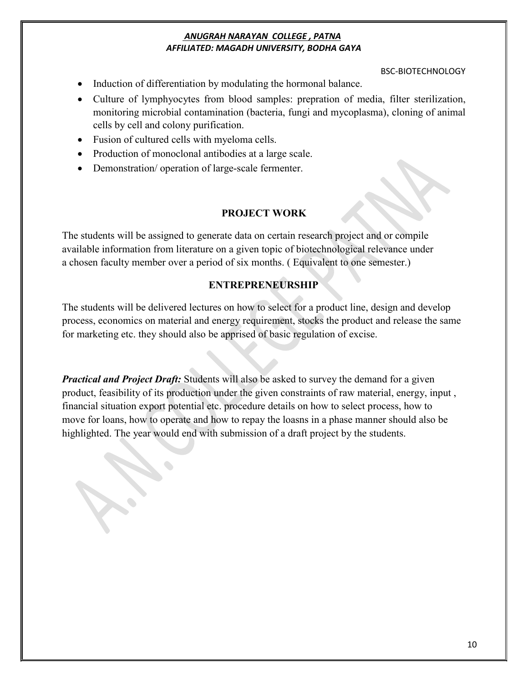#### BSC-BIOTECHNOLOGY

- Induction of differentiation by modulating the hormonal balance.
- Culture of lymphyocytes from blood samples: prepration of media, filter sterilization, monitoring microbial contamination (bacteria, fungi and mycoplasma), cloning of animal cells by cell and colony purification.
- Fusion of cultured cells with myeloma cells.
- Production of monoclonal antibodies at a large scale.
- Demonstration/ operation of large-scale fermenter.

# **PROJECT WORK**

The students will be assigned to generate data on certain research project and or compile available information from literature on a given topic of biotechnological relevance under a chosen faculty member over a period of six months. ( Equivalent to one semester.)

# **ENTREPRENEURSHIP**

The students will be delivered lectures on how to select for a product line, design and develop process, economics on material and energy requirement, stocks the product and release the same for marketing etc. they should also be apprised of basic regulation of excise.

*Practical and Project Draft:* Students will also be asked to survey the demand for a given product, feasibility of its production under the given constraints of raw material, energy, input , financial situation export potential etc. procedure details on how to select process, how to move for loans, how to operate and how to repay the loasns in a phase manner should also be highlighted. The year would end with submission of a draft project by the students.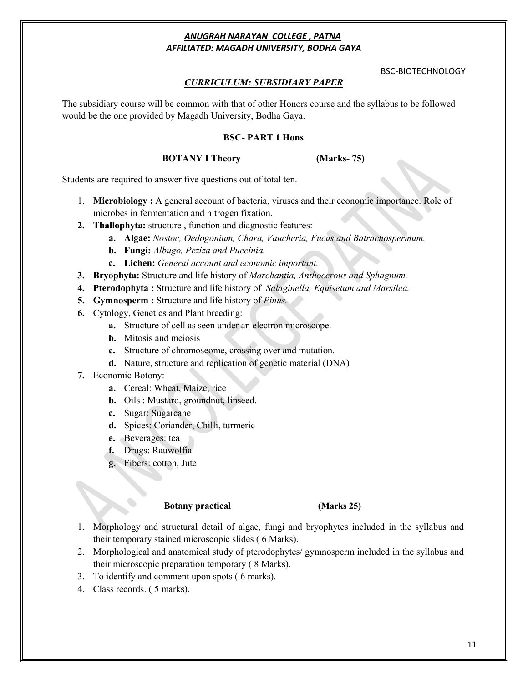#### BSC-BIOTECHNOLOGY

### *CURRICULUM: SUBSIDIARY PAPER*

The subsidiary course will be common with that of other Honors course and the syllabus to be followed would be the one provided by Magadh University, Bodha Gaya.

#### **BSC- PART 1 Hons**

#### **BOTANY I Theory (Marks- 75)**

Students are required to answer five questions out of total ten.

- 1. **Microbiology :** A general account of bacteria, viruses and their economic importance. Role of microbes in fermentation and nitrogen fixation.
- **2. Thallophyta:** structure , function and diagnostic features:
	- **a. Algae:** *Nostoc, Oedogonium, Chara, Vaucheria, Fucus and Batrachospermum.*
	- **b. Fungi:** *Albugo, Peziza and Puccinia.*
	- **c. Lichen:** *General account and economic important.*
- **3. Bryophyta:** Structure and life history of *Marchantia, Anthocerous and Sphagnum.*
- **4. Pterodophyta :** Structure and life history of*Salaginella, Equisetum and Marsilea.*
- **5. Gymnosperm :** Structure and life history of *Pinus.*
- **6.** Cytology, Genetics and Plant breeding:
	- **a.** Structure of cell as seen under an electron microscope.
	- **b.** Mitosis and meiosis
	- **c.** Structure of chromoseome, crossing over and mutation.
	- **d.** Nature, structure and replication of genetic material (DNA)
- **7.** Economic Botony:
	- **a.** Cereal: Wheat, Maize, rice
	- **b.** Oils : Mustard, groundnut, linseed.
	- **c.** Sugar: Sugarcane
	- **d.** Spices: Coriander, Chilli, turmeric
	- **e.** Beverages: tea
	- **f.** Drugs: Rauwolfia
	- **g.** Fibers: cotton, Jute

#### **Botany practical (Marks 25)**

- 1. Morphology and structural detail of algae, fungi and bryophytes included in the syllabus and their temporary stained microscopic slides ( 6 Marks).
- 2. Morphological and anatomical study of pterodophytes/ gymnosperm included in the syllabus and their microscopic preparation temporary ( 8 Marks).
- 3. To identify and comment upon spots ( 6 marks).
- 4. Class records. ( 5 marks).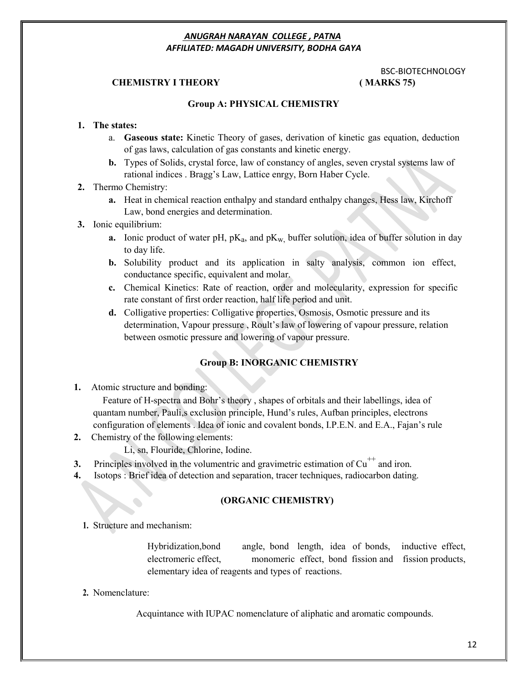## **CHEMISTRY I THEORY ( MARKS 75)**

# BSC-BIOTECHNOLOGY

#### **Group A: PHYSICAL CHEMISTRY**

#### **1. The states:**

- a. **Gaseous state:** Kinetic Theory of gases, derivation of kinetic gas equation, deduction of gas laws, calculation of gas constants and kinetic energy.
- **b.** Types of Solids, crystal force, law of constancy of angles, seven crystal systems law of rational indices . Bragg's Law, Lattice enrgy, Born Haber Cycle.

#### **2.** Thermo Chemistry:

- **a.** Heat in chemical reaction enthalpy and standard enthalpy changes, Hess law, Kirchoff Law, bond energies and determination.
- **3.** Ionic equilibrium:
	- **a.** Ionic product of water pH,  $pK_a$ , and  $pK_w$ , buffer solution, idea of buffer solution in day to day life.
	- **b.** Solubility product and its application in salty analysis, common ion effect, conductance specific, equivalent and molar.
	- **c.** Chemical Kinetics: Rate of reaction, order and molecularity, expression for specific rate constant of first order reaction, half life period and unit.
	- **d.** Colligative properties: Colligative properties, Osmosis, Osmotic pressure and its determination, Vapour pressure , Roult's law of lowering of vapour pressure, relation between osmotic pressure and lowering of vapour pressure.

#### **Group B: INORGANIC CHEMISTRY**

**1.** Atomic structure and bonding:

Feature of H-spectra and Bohr's theory , shapes of orbitals and their labellings, idea of quantam number, Pauli,s exclusion principle, Hund's rules, Aufban principles, electrons configuration of elements . Idea of ionic and covalent bonds, I.P.E.N. and E.A., Fajan's rule

- **2.** Chemistry of the following elements:
	- Li, sn, Flouride, Chlorine, Iodine.
- **3.** Principles involved in the volumentric and gravimetric estimation of  $Cu<sup>++</sup>$  and iron.
- **4.** Isotops : Brief idea of detection and separation, tracer techniques, radiocarbon dating.

#### **(ORGANIC CHEMISTRY)**

**1.** Structure and mechanism:

Hybridization,bond angle, bond length, idea of bonds, inductive effect, electromeric effect, monomeric effect, bond fission and fission products, elementary idea of reagents and types of reactions.

**2.** Nomenclature:

Acquintance with IUPAC nomenclature of aliphatic and aromatic compounds.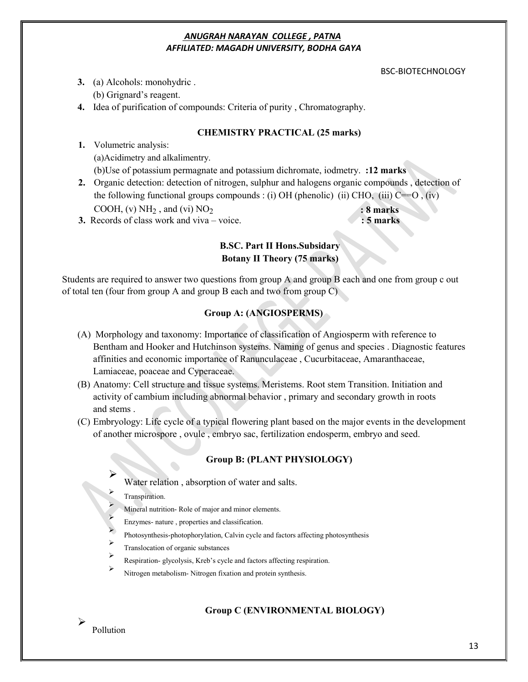#### BSC-BIOTECHNOLOGY

**3.** (a) Alcohols: monohydric .

(b) Grignard's reagent.

**4.** Idea of purification of compounds: Criteria of purity , Chromatography.

# **CHEMISTRY PRACTICAL (25 marks)**

**1.** Volumetric analysis: (a)Acidimetry and alkalimentry. (b)Use of potassium permagnate and potassium dichromate, iodmetry. **:12 marks**

**2.** Organic detection: detection of nitrogen, sulphur and halogens organic compounds , detection of the following functional groups compounds : (i) OH (phenolic) (ii) CHO, (iii)  $C=O$ , (iv) COOH, (v)  $NH_2$ , and (vi)  $NO_2$   $: 8$  marks

**3.** Records of class work and viva – voice. **: 5 marks**

# **B.SC. Part II Hons.Subsidary Botany II Theory (75 marks)**

Students are required to answer two questions from group A and group B each and one from group c out of total ten (four from group A and group B each and two from group C)

# **Group A: (ANGIOSPERMS)**

- (A) Morphology and taxonomy: Importance of classification of Angiosperm with reference to Bentham and Hooker and Hutchinson systems. Naming of genus and species . Diagnostic features affinities and economic importance of Ranunculaceae , Cucurbitaceae, Amaranthaceae, Lamiaceae, poaceae and Cyperaceae.
- (B) Anatomy: Cell structure and tissue systems. Meristems. Root stem Transition. Initiation and activity of cambium including abnormal behavior , primary and secondary growth in roots and stems .
- (C) Embryology: Life cycle of a typical flowering plant based on the major events in the development of another microspore , ovule , embryo sac, fertilization endosperm, embryo and seed.

# **Group B: (PLANT PHYSIOLOGY)**

- $\blacktriangleright$ Water relation , absorption of water and salts.
	- Transpiration.
	- Mineral nutrition- Role of major and minor elements.
	- Enzymes- nature , properties and classification.
	- Photosynthesis-photophorylation, Calvin cycle and factors affecting photosynthesis
- Translocation of organic substances
- Respiration- glycolysis, Kreb's cycle and factors affecting respiration.
- Nitrogen metabolism- Nitrogen fixation and protein synthesis.

# **Group C (ENVIRONMENTAL BIOLOGY)**

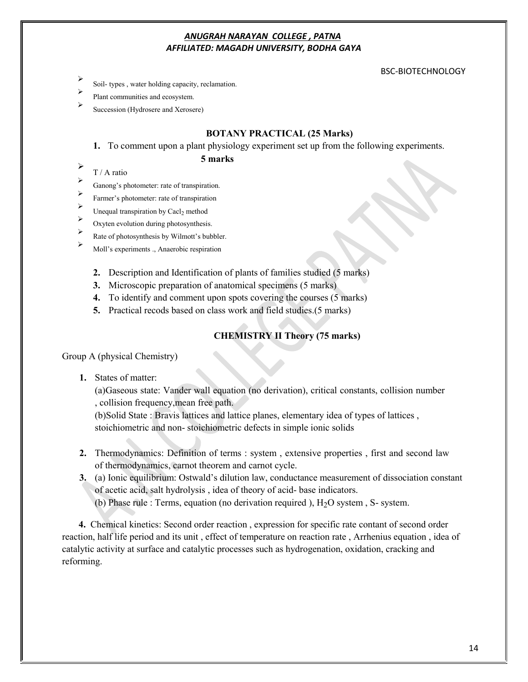#### BSC-BIOTECHNOLOGY

- Soil- types , water holding capacity, reclamation.
- Plant communities and ecosystem.
- Succession (Hydrosere and Xerosere)

#### **BOTANY PRACTICAL (25 Marks)**

**1.** To comment upon a plant physiology experiment set up from the following experiments.

#### **5 marks**

- $\begin{array}{c} \n\blacktriangleright \quad & T / A \text{ ratio} \n\end{array}$
- Ganong's photometer: rate of transpiration.
- Farmer's photometer: rate of transpiration
- $\triangleright$  Unequal transpiration by Cacl<sub>2</sub> method
- Oxyten evolution during photosynthesis.
- Rate of photosynthesis by Wilmott's bubbler.
- Moll's experiments ., Anaerobic respiration
	- **2.** Description and Identification of plants of families studied (5 marks)
	- **3.** Microscopic preparation of anatomical specimens (5 marks)
	- **4.** To identify and comment upon spots covering the courses (5 marks)
	- **5.** Practical recods based on class work and field studies.(5 marks)

# **CHEMISTRY II Theory (75 marks)**

Group A (physical Chemistry)

**1.** States of matter:

(a)Gaseous state: Vander wall equation (no derivation), critical constants, collision number , collision frequency,mean free path.

(b)Solid State : Bravis lattices and lattice planes, elementary idea of types of lattices , stoichiometric and non- stoichiometric defects in simple ionic solids

- **2.** Thermodynamics: Definition of terms : system , extensive properties , first and second law of thermodynamics, carnot theorem and carnot cycle.
- **3.** (a) Ionic equilibrium: Ostwald's dilution law, conductance measurement of dissociation constant of acetic acid, salt hydrolysis , idea of theory of acid- base indicators.
	- (b) Phase rule : Terms, equation (no derivation required ),  $H<sub>2</sub>O$  system, S- system.

**4.** Chemical kinetics: Second order reaction , expression for specific rate contant of second order reaction, half life period and its unit , effect of temperature on reaction rate , Arrhenius equation , idea of catalytic activity at surface and catalytic processes such as hydrogenation, oxidation, cracking and reforming.